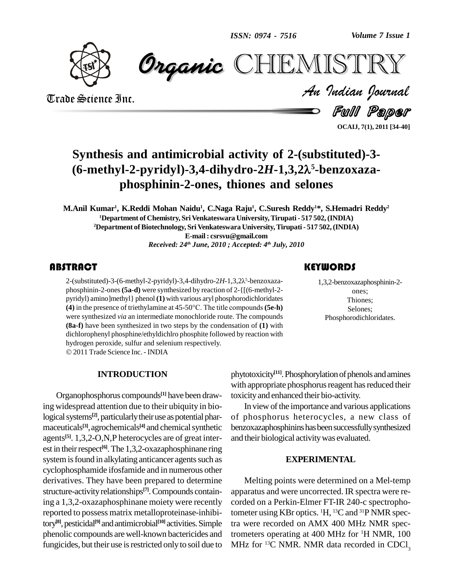*Volume 7 Issue 1*



 *Indian Journal* **CHEMISTRY** 

Trade Science Inc. Trade Science Inc.

Full Paper

**OCAIJ, 7(1), 2011 [34-40]**

# **Synthesis** and antimicrobial activity of 2-(substituted)-3-**(6-methyl-2-pyridyl)-3,4-dihydro-2***H***-1,3,2 <sup>5</sup>-benzoxaza phosphinin-2-ones, thiones and selones**

M.Anil Kumar<sup>ı</sup>, K.Reddi Mohan Naidu<sup>ı</sup>, C.Naga Raju<sup>ı</sup>, C.Suresh Reddy<sup>ı</sup>\*, S.Hemadri Reddy<sup>2</sup> **<sup>1</sup>Department of Chemistry, SriVenkateswara University,Tirupati- 517 502,(INDIA) <sup>2</sup>Department ofBiotechnology, Sri Venkateswara University,Tirupati- 517 502,(INDIA) E-mail: [csrsvu@gmail.com](mailto:csrsvu@gmail.com)** *Received: 24 th June, 2010 ; Accepted: 4 th July, 2010*

2-(substituted)-3-(6-methyl-2-pyridyl)-3,4-dihydro-2H-1,3,2 $\lambda^5$ -benzoxaza-<br>phosphinin-2-ones (**5a-d**) were synthesized by reaction of 2-{[(6-methyl-2-<br>pyridyl) amino]methyl} phenol **(1)** with various aryl phosphorodichl **TRACT**<br>2-(substituted)-3-(6-methyl-2-pyridyl)-3,4-dihydro-2*H*-1,3,2 $\lambda$ <sup>5</sup>-benzoxazaphosphinin-2-ones**(5a-d)** were synthesized by reaction of 2-{[(6-methyl-2- **(4)** in the presence of triethylamine at 45-50°C. The title compounds**(5e-h)** were synthesized *via* an intermediate monochloride route. The compounds **(8a-f)** have been synthesized in two steps by the condensation of **(1)** with dichlorophenyl phosphine/ethyldichlro phosphite followed by reaction with hydrogen peroxide, sulfur and selenium respectively. 2011Trade Science Inc. - INDIA

#### **INTRODUCTION**

Organophosphorus compounds **[1]** have been drawing widespread attention due to their ubiquity in biological systems<sup>[2]</sup>, particularly their use as potential phar- of maceuticals<sup>[3]</sup>, agrochemicals<sup>[4]</sup> and chemical synthetic benzo agents<sup>[5]</sup>. 1,3,2-O,N,P heterocycles are of great inter- and est in their respect<sup>[6]</sup>. The 1,3,2-oxazaphosphinane ring system is found in alkylating anticancer agents such as cyclophosphamide ifosfamide and in numerous other derivatives. They have been prepared to determine structure-activity relationships<sup>[7]</sup>. Compounds containing a 1,3,2-oxazaphosphinane moiety were recently reported to possess matrix metalloproteinase-inhibitory<sup>[8]</sup>, pesticidal<sup>[9]</sup> and antimicrobial<sup>[10]</sup> activities. Simple tra we phenolic compounds arewell-known bactericides and fungicides, but their use is restricted only to soil due to

#### **KEYWORDS**

1,3,2-benzoxazaphosphir<br>ones;<br>Thiones; 1,3,2-benzoxazaphosphinin-2 ones; Thiones; Selones; Phosphorodichloridates.

phytotoxicity<sup>[11]</sup>. Phosphorylation of phenols and amines with appropriate phosphorus reagent has reduced their toxicityand enhanced their bio-activity.

In view of the importance and various applications of phosphorus heterocycles, a new class of benzoxazaphosphinins has been successfully synthesized and their biological activitywas evaluated.

#### **EXPERIMENTAL**

Melting points were determined on a Mel-temp apparatus and were uncorrected. IR spectra were re corded on a Perkin-Elmer FT-IR 240-c spectrophotometer using KBr optics. <sup>1</sup>H, <sup>13</sup>C and <sup>31</sup>P NMR spectra were recorded on AMX 400 MHz NMR spectrometers operating at 400 MHz for <sup>1</sup>H NMR, 100 MHz for <sup>13</sup>C NMR. NMR data recorded in CDCl<sub>3</sub>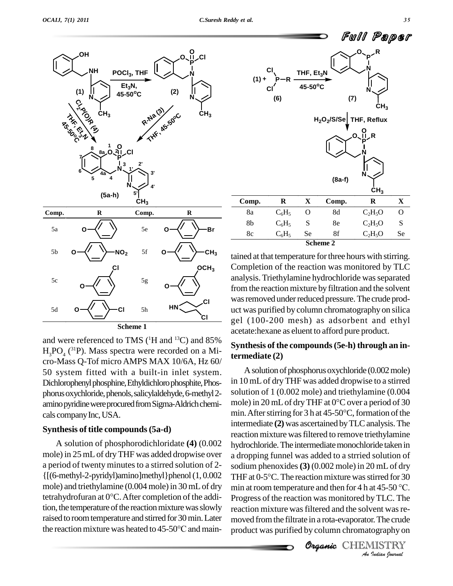

and were referenced to TMS ( $\rm{^{1}H}$  and  $\rm{^{13}C}$ ) and  $\rm{85\%}$  $H_3PO_4$  (<sup>31</sup>P). Mass spectra were recorded on a Micro-Mass Q-Tof micro AMPS MAX 10/6A, Hz 60/ 50 system fitted with a built-in inlet system. Dichlorophenyl phosphine, Ethyldichloro phosphite, Phosphorus oxychloride, phenols, salicylaldehyde, 6-methyl 2amino pyridine were procured from Sigma-Aldrich chemi-<br>cals company Inc. USA<br>min. After stirring for 3 h at 45-50°C, formation of the cals company Inc, USA.

#### **Synthesis of title compounds(5a-d)**

A solution of phosphorodichloridate **(4)** (0.002 mole) in 25mLof dryTHF was added dropwise over a period of twenty minutes to a stirred solution of 2-{[(6-methyl-2-pyridyl)amino]methyl}phenol (1, 0.002 THF at mole) and triethylamine (0.004 mole) in 30 mL of dry min at tetrahydrofuran at 0°C. After completion of the addimole) and triethylamine  $(0.004$  mole) in 30 mL of dry tion, the temperature of the reaction mixture was slowly reaction<br>raised to room temperature and stirred for 30 min. Later moved<br>the reaction mixture was heated to 45-50°C and mainraised to roomtemperature and stirred for30min.Later



tained at that temperature for three hours with stirring. Completion of the reaction was monitored by TLC analysis.Triethylamine hydrochloride wasseparated from the reaction mixture by filtration and the solvent was removed under reduced pressure. The crude product was purified by column chromatographyon silica gel (100-200 mesh) as adsorbent and ethyl acetate:hexane as eluent to afford pure product.

#### **Synthesis of the compounds(5e-h) through an intermediate (2)**

**organd** then for 4 h **Progress of the reaction was monitored by TLC. The reaction mixture was filtered and the solvent was removed from the filtrate in a rota-evaporator. The crude product was purified by column chromatography on<br>
<b>Chileming C** A solution of phosphorus oxychloride  $(0.002 \text{ mole})$ in 10 mLof dryTHF was added dropwise to a stirred solution of 1 (0.002 mole) and triethylamine (0.004 in 10 mL of dry THF was added dropwise to a stirred<br>solution of 1 (0.002 mole) and triethylamine (0.004<br>mole) in 20 mL of dry THF at 0°C over a period of 30 solution of 1 (0.002 mole) and triethylamine (0.004<br>mole) in 20 mL of dry THF at 0°C over a period of 30<br>min. After stirring for 3 h at 45-50°C, formation of the intermediate **(2)** was ascertained by TLC analysis. The reaction mixture was filtered to remove triethylamine hydrochloride. The intermediate monochloride taken in a dropping funnel was added to a strried solution of<br>sodium phenoxides (3) (0.002 mole) in 20 mL of dry<br>THF at 0-5°C. The reaction mixture was stirred for 30 sodium phenoxides (3) (0.002 mole) in 20 mL of dry<br>THF at 0-5°C. The reaction mixture was stirred for 30<br>min at room temperature and then for 4 h at 45-50 °C. reaction mixture was filtered and the solvent was removed from the filtrate in a rota-evaporator. The crude product was purified by column chromatography on

Organic CHEMISTRY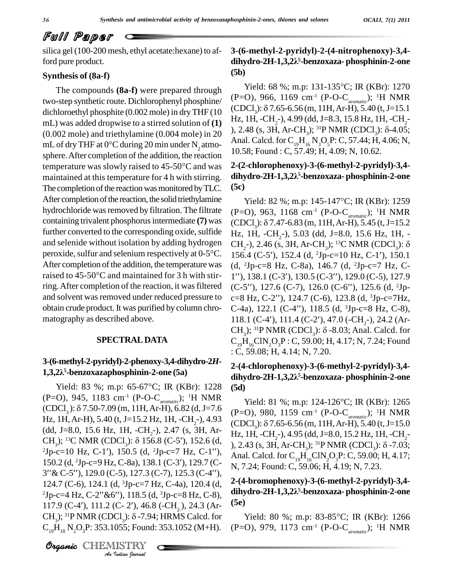silica gel (100-200 mesh, ethyl acetate:hexane) to afford pure product.

#### **Synthesis of (8a-f)**

The compounds **(8a-f)** were prepared through two-step synthetic route. Dichlorophenyl phosphine/ $(\text{F}-\text{O})$ , 900, 1109 Cm<sup>-</sup> ( $\text{F}-\text{O}-\text{C}_{\text{aroundic}}$ ), <sup>1</sup>H INMK<br>dichloroethyl phosphite (0,002 mole) in dry THE (10 (CDCl<sub>3</sub>):  $\delta$  7.65-6.56 (m, 11H, Ar-H), 5.40 (t, dichloroethyl phosphite (0.002 mole) in dryTHF (10 mL) was added dropwise to a stirred solution of **(1)**  $(0.002 \text{ mole})$  and triethylamine  $(0.004 \text{ mole})$  in 20  $\rightarrow$ mL) was added dropwise to a stirred solution of (1)  $\mu$ , 1H<br>(0.002 mole) and triethylamine (0.004 mole) in 20  $\mu$ ), 2.48<br>mL of dry THF at 0°C during 20 min under N<sub>2</sub> atmo-<br>sphere. After completion of the addition, the mL of dry THF at 0°C during 20 min under N<sub>2</sub> atmo-<br>sphere. After completion of the addition, the reaction<br>temperature was slowly raised to 45-50°C and was<br>**2-(2-chlorophenoxy)-3-(6-methyl-2-pyric** maintained at this temperature for 4 h with stirring. The completion of the reaction was monitored by TLC. After completion of the reaction, the solid triethylamine hydrochloride was removed by filtration. The filtrate containing trivalent phosphorus intermediate (7) was  $(CDCl_3)$ :  $\delta$  7.47-6.83 (m, 11H, Ar-H), 5.45 (t, J=15.2 further converted to the corresponding oxide, sulfide  $_{\text{Hz}}$ , 1 and selenide without isolation by adding hydrogen  $_{\text{CH}_2^-}$ ) peroxide, sulfur and selenium respectively at 0-5°C. 156.4 and selenide without isolation by adding hydrogen  $CH_2$ -), 2.46 (s, 3H, Ar-CH<sub>2</sub>); <sup>13</sup>C NMR (CDCl<sub>3</sub>):  $\delta$ After completion of the addition, the temperature was  $(d, 2)$ peroxide, sulfur and selenium respectively at  $0-5^{\circ}C$ . 15<br>After completion of the addition, the temperature was (d<br>raised to  $45-50^{\circ}C$  and maintained for 3 h with stirring. After completion of the reaction, it was filtered and solvent was removed under reduced pressure to  $c=8$  Hz, C-2"), 124.7 (C-6), 123.8 (d, <sup>3</sup>Jp-c=7Hz, obtain crude product. It was purified by column chro matography as described above.

#### **SPECTRALDATA**

#### **3-(6-methyl-2-pyridyl)-2-phenoxy-3,4-dihydro-2***H***- 3-(6-methyl-2-p**<br>1,3,2λ<sup>5</sup>-benzox **<sup>5</sup>-benzoxazaphosphinin-2-one (5a)**

**Analytic Compton Control**<br>Tn-c=4 Hz, C-2''& *I*<sup>'</sup>'), 118.5 (d.<br>(C- 2'), 46.8<br>Cl<sub>3</sub>): δ-7.94<br>055; Found:<br>IISTRY Yield: 83 %; m.p: 65-67°C; IR (KBr): 1228 (P=O), 945, 1183 cm<sup>-1</sup> (P-O-C<sub>aromatic</sub>); <sup>1</sup>H NMR  $_{\text{Yield:}}$ Yield: 83 %; m.p: 65-67°C; IR (KBr): 1228 (5d)<br>(P=O), 945, 1183 cm<sup>-1</sup> (P-O-C<sub>aromatic</sub>); <sup>1</sup>H NMR<br>(CDCl<sub>3</sub>):  $\delta$  7.50-7.09 (m, 11H, Ar-H), 6.82 (d, J=7.6 (P=O) Hz, 1H, Ar-H), 5.40 (t, J=15.2 Hz, 1H, -CH<sub>2</sub>-), 4.93 (dd, J=8.0, 15.6 Hz, 1H, -CH<sub>2</sub>-), 2.47 (s, 3H, Ar-Hz, 1H, Ar-H), 5.40 (t, J=15.2 Hz, 1H, -CH<sub>2</sub>-), 4.93 (CI<br>(dd, J=8.0, 15.6 Hz, 1H, -CH<sub>2</sub>-), 2.47 (s, 3H, Ar-<br>CH<sub>3</sub>); <sup>13</sup>C NMR (CDCl<sub>3</sub>):  $\delta$  156.8 (C-5'), 152.6 (d, ), 2<br><sup>2</sup>Jp-c=10 Hz, C-1'), 150.5 (d, <sup>2</sup>Jp-c=7 Hz, C-CH<sub>3</sub>); <sup>13</sup>C NMR (CDCl<sub>3</sub>):  $\delta$  156.8 (C-5'), 152.6 (d, 122,<br>
<sup>2</sup>Jp-c=10 Hz, C-1'), 150.5 (d, <sup>2</sup>Jp-c=7 Hz, C-1''), Ana<br>
150.2 (d, <sup>2</sup>Jp-c=9 Hz, C-8a), 138.1 (C-3'), 129.7 (C-2.43 (s, 3H, Ar-CH<sub>3</sub>); <sup>31</sup>P NMR (CDCI<sub>3</sub>):  $\delta$  -7.03;<br><sup>2</sup>Jp-c=10 Hz, C-1'), 150.5 (d, <sup>2</sup>Jp-c=7 Hz, C-1''), Anal. Calcd. for C<sub>19</sub>H<sub>16</sub>ClN<sub>2</sub>O<sub>3</sub>P: C, 59.00; H, 4.17;<br>150.2 (d, <sup>2</sup>Jp-c=9 Hz, C-8a), 138.1 (C-3'), 129.7 124.7 (C-6), 124.1 (d, <sup>3</sup>Jp-c=7 Hz, C-4a), 120.4 (d,  $\frac{2-1}{2}$  $3''$ & C-5''), 129.0 (C-5), 127.3 (C-7), 125.3 (C-4''),<br>124.7 (C-6), 124.1 (d, <sup>3</sup>Jp-c=7 Hz, C-4a), 120.4 (d,  $2^{-1}$ <br><sup>2</sup>Jp-c=4 Hz, C-2''&6''), 118.5 (d, <sup>3</sup>Jp-c=8 Hz, C-8), 124.7 (C-6), 124.1 (d, <sup>3</sup>Jp-c=7 Hz, C-4a), 120.4 (d, <sup>2-(2</sup><sup>2</sup>Jp-c=4 Hz, C-2''&6''), 118.5 (d, <sup>3</sup>Jp-c=8 Hz, C-8), dih<br>
117.9 (C-4'), 111.2 (C- 2'), 46.8 (-CH<sub>2</sub>), 24.3 (Ar-<br>
CH<sub>3</sub>); <sup>31</sup>P NMR (CDCl<sub>3</sub>):  $\delta$ -7.94; HRMS  $C_{19}H_{18}N_2O_3P: 353.1055$ ; Found: 353.1052 (M+H).

CHEMISTRY COMMENT

### **3-(6-methyl-2-pyridyl)-2-(4-nitrophenoxy)-3,4 dihydro-2H-1,3,2<sup>Î</sup> <sup>5</sup>-benzoxaza- phosphinin-2-one (5b)**

Yield: 68 %; m.p: 131-135 °C; IR (KBr): 1270 (P=O), 966, 1169 cm<sup>-1</sup> (P-O-C<sub>aromatic</sub>); <sup>1</sup>H NMR Yield: 68 %; m.p: 131-135°C; IR (KBr): 1270<br>(P=O), 966, 1169 cm<sup>-1</sup> (P-O-C<sub>aromatic</sub>); <sup>1</sup>H NMR<br>(CDCl<sub>3</sub>):  $\delta$  7.65-6.56 (m, 11H, Ar-H), 5.40 (t, J=15.1 Hz, 1H,  $-CH$ <sub>2</sub> $-$ ), 4.99 (dd, J=8.3, 15.8 Hz, 1H,  $-CH$ <sub>2</sub> $-$ ), 2.48 (s, 3H, Ar-CH<sub>3</sub>); <sup>31</sup>P NMR (CDCl<sub>3</sub>):  $\delta$ -4.05; Anal. Calcd. for  $C_{19}H_{16}N_3O_5P$ : C, 57.44; H, 4.06; N,

### **2-(2-chlorophenoxy)-3-(6-methyl-2-pyridyl)-3,4-** 10.58; Found : C, 57.49; H, 4.09; N, 10.62.<br>**2-(2-chlorophenoxy)-3-(6-methyl-2-pyridyl)-3,4-**<br>**dihydro-2H-1,3,2**λ<sup>5</sup>-benzoxaza- phosphinin-2-one **(5c)**

Yield: 82 %; m.p: 145-147 °C; IR (KBr): 1259 (P=O), 963, 1168 cm<sup>-1</sup> (P-O-C<sub>aromatic</sub>); <sup>1</sup>H NMR Yield: 82 %; m.p: 145-147°C; IR (KBr): 1259<br>(P=O), 963, 1168 cm<sup>-1</sup> (P-O-C<sub>aromatic</sub>); <sup>1</sup>H NMR<br>(CDCl<sub>3</sub>):  $\delta$  7.47-6.83 (m, 11H, Ar-H), 5.45 (t, J=15.2 (CDCl<sub>3</sub>): 8 7.47-6.83 (m, 11H, Ar-H), 5.45 (t, J=15.2<br>Hz, 1H, -CH<sub>2</sub>-), 5.03 (dd, J=8.0, 15.6 Hz, 1H, -<br>CH<sub>2</sub>-), 2.46 (s, 3H, Ar-CH<sub>3</sub>); <sup>13</sup>C NMR (CDCl<sub>3</sub>): 8 Hz, 1H, -CH<sub>2</sub>-), 5.03 (dd, J=8.0, 15.6 Hz, 1H, -<br>CH<sub>2</sub>-), 2.46 (s, 3H, Ar-CH<sub>3</sub>); <sup>13</sup>C NMR (CDCl<sub>3</sub>): δ<br>156.4 (C-5'), 152.4 (d, <sup>2</sup>Jp-c=10 Hz, C-1'), 150.1 (d, <sup>2</sup>Jp-c=8 Hz, C-8a), 146.7 (d, <sup>2</sup>Jp-c=7 Hz, C-156.4 (C-5'), 152.4 (d, <sup>2</sup>Jp-c=10 Hz, C-1'), 150.1<br>(d, <sup>2</sup>Jp-c=8 Hz, C-8a), 146.7 (d, <sup>2</sup>Jp-c=7 Hz, C-<br>1''), 138.1 (C-3'), 130.5 (C-3''), 129.0 (C-5), 127.9 (d, <sup>2</sup>Jp-c=8 Hz, C-8a), 146.7 (d, <sup>2</sup>Jp-c=7 Hz, C-<br>1''), 138.1 (C-3'), 130.5 (C-3''), 129.0 (C-5), 127.9<br>(C-5''), 127.6 (C-7), 126.0 (C-6''), 125.6 (d, <sup>2</sup>Jp-1"), 138.1 (C-3'), 130.5 (C-3''), 129.0 (C-5), 127.9  $(C-5'')$ , 127.6  $(C-7)$ , 126.0  $(C-6'')$ , 125.6  $(d, {}^{2}Jp-$ C-4a), 122.1 (C-4''), 118.5 (d, <sup>3</sup>Jp-c=8 Hz, C-8),<br>118.1 (C-4'), 111.4 (C-2'), 47.0 (-CH<sub>2</sub>-), 24.2 (Ar-<br>CH<sub>3</sub>); <sup>31</sup>P NMR (CDCl<sub>3</sub>):  $\delta$  -8.03; Anal. Calcd. for  $C_{19}H_{16}CIN_{2}O_{3}P$ : C, 59.00; H, 4.17; N, 7.24; Found : C, 59.08; H, 4.14; N, 7.20.

### **2-(4-chlorophenoxy)-3-(6-methyl-2-pyridyl)-3,4-** : C, 59.08; H, 4.14; N, 7.20.<br>**2-(4-chlorophenoxy)-3-(6-methyl-2-pyridyl)-3,4-**<br>dihydro-2H-1,3,2λ<sup>5</sup>-benzoxaza- phosphinin-2-one **(5d)**

Yield: 81 %; m.p: 124-126 °C; IR (KBr): 1265 (P=O), 980, 1159 cm<sup>-1</sup> (P-O-C<sub>aromatic</sub>); <sup>1</sup>H NMR Yield: 81 %; m.p: 124-126°C; IR (KBr): 1265<br>(P=O), 980, 1159 cm<sup>-1</sup> (P-O-C<sub>aromatic</sub>); <sup>1</sup>H NMR<br>(CDCl<sub>3</sub>):  $\delta$  7.65-6.56 (m, 11H, Ar-H), 5.40 (t, J=15.0 Hz, 1H, -CH<sub>2</sub>-), 4.95 (dd, J=8.0, 15.2 Hz, 1H, -CH<sub>2</sub>- $(CDCl<sub>3</sub>)$ :  $\delta$  7.65-6.56 (m, 11H, Ar-H), 5.40 (t, J=15.0 Anal. Calcd. for  $C_{19}H_{16}CIN_{2}O_{3}P$ : C, 59.00; H, 4.17; N, 7.24; Found: C, 59.06; H, 4.19; N, 7.23.

### **2-(4-bromophenoxy)-3-(6-methyl-2-pyridyl)-3,4-** N, 7.24; Found: C, 59.06; H, 4.19; N, 7.25.<br>**2-(4-bromophenoxy)-3-(6-methyl-2-pyridyl)-3,4-**<br>dihydro-2H-1,3,2λ<sup>5</sup>-benzoxaza- phosphinin-2-one **(5e)**

Yield: 80 %; m.p: 83-85°C; IR (KBr): 1266 (P=O), 979, 1173 cm<sup>-1</sup> (P-O-C<sub>aromatic</sub>); <sup>1</sup>H NMR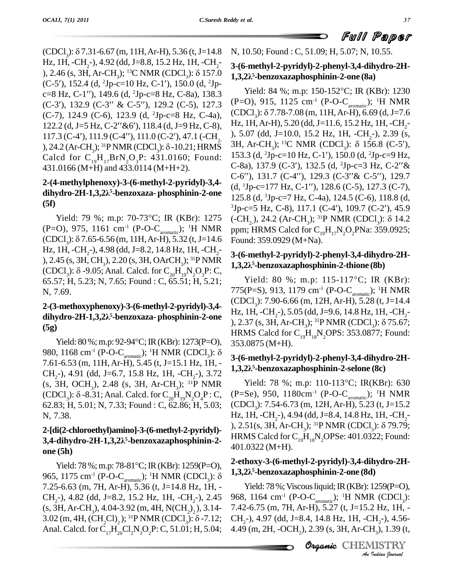(CDCl<sub>3</sub>):  $\delta$  7.31-6.67 (m, 11H, Ar-H), 5.36 (t, J=14.8 N, 10.5) Hz, 1H, -CH<sub>2</sub>-), 4.92 (dd, J=8.8, 15.2 Hz, 1H, -CH<sub>2</sub>-<br>), 2.46 (s, 3H, Ar-CH<sub>2</sub>); <sup>13</sup>C NMR (CDCl<sub>2</sub>):  $\delta$  157.0 (CDCl<sub>3</sub>): 8 7.31-6.67 (m, 11H, Ar-H), 5.36 (t, J=14.8 N, 10.:<br>Hz, 1H, -CH<sub>2</sub>-), 4.92 (dd, J=8.8, 15.2 Hz, 1H, -CH<sub>2</sub>-<br>), 2.46 (s, 3H, Ar-CH<sub>3</sub>); <sup>13</sup>C NMR (CDCl<sub>3</sub>): 8 157.0 **1.3.2** $\lambda$ <sup>5</sup> Hz, 1H, -CH<sub>2</sub>-), 4.92 (dd, J=8.8, 15.2 Hz, 1H, -CH<sub>2</sub>-<br>), 2.46 (s, 3H, Ar-CH<sub>3</sub>); <sup>13</sup>C NMR (CDCl<sub>3</sub>): δ 157.0<br>(C-5'), 152.4 (d, <sup>2</sup>Jp-c=10 Hz, C-1'), 150.0 (d, <sup>2</sup>Jp-), 2.46 (s, 3H, Ar-CH<sub>3</sub>); <sup>13</sup>C NMR (CDCl<sub>3</sub>):  $\delta$  157.0<br>(C-5'), 152.4 (d, <sup>2</sup>Jp-c=10 Hz, C-1'), 150.0 (d, <sup>2</sup>Jp-<br>c=8 Hz, C-1''), 149.6 (d, <sup>2</sup>Jp-c=8 Hz, C-8a), 138.3 (C-5'), 152.4 (d, <sup>2</sup>Jp-c=10 Hz, C-1'), 150.0 (d, <sup>2</sup>Jp-<br>c=8 Hz, C-1''), 149.6 (d, <sup>2</sup>Jp-c=8 Hz, C-8a), 138.3<br>(C-3'), 132.9 (C-3'' & C-5''), 129.2 (C-5), 127.3 (P=O)  $(C-7)$ , 124.9 (C-6), 123.9 (d, <sup>2</sup>Jp-c=8 Hz, C-4a),  $(CDCl_3)$ :  $\delta$  7.78-7.08 (m, 11H, Ar-H), 6.69 (d, J=7.6 (C-3'), 132.9 (C-3'' & C-5''), 129.2 (C-5), 127.3 (P<br>(C-7), 124.9 (C-6), 123.9 (d, <sup>2</sup>Jp-c=8 Hz, C-4a), (C<br>122.2 (d, J=5 Hz, C-2''&6'), 118.4 (d, J=9 Hz, C-8), H (C-7), 124.9 (C-6), 123.9 (d, <sup>2</sup>Jp-c=8 Hz, C-4a), (CDCl<sub>3</sub>,<br>122.2 (d, J=5 Hz, C-2''&6'), 118.4 (d, J=9 Hz, C-8), Hz, 1H,<br>117.3 (C-4'), 111.9 (C-4''), 111.0 (C-2'), 47.1 (-CH<sub>2</sub>), 5.07<br>), 24.2 (Ar-CH<sub>3</sub>); <sup>31</sup>P NMR (CDCl<sub></sub> Calcd for  $C_{19}H_{17}BrN_2O_3P$ : 431.0160; Found: 431.0166 (M+H) and 433.0114 (M+H+2).

# **451.0166 (M+H) and 435.0114 (M+H+2).**<br> **2-(4-methylphenoxy)-3-(6-methyl-2-pyridyl)-3,4-** (d, <sup>1</sup>J<sub>I</sub> dihydro-2H-1,3,2λ<sup>5</sup>-benzoxaza- phosphinin-2-one (d, <sup>1</sup>J<sub>I</sub> δ **(5f)**

(P=O), 975, 1161 cm<sup>-1</sup> (P-O-C<sub>aromatic</sub>); <sup>1</sup>H NMR ppm; HRI Yield: 79 %; m.p: 70-73°C; IR (KBr): 1275 (-CH<sub>2</sub>)<br>(P=O), 975, 1161 cm<sup>-1</sup> (P-O-C<sub>aromatic</sub>); <sup>1</sup>H NMR ppm; *H*<br>(CDCl<sub>3</sub>):  $\delta$  7.65-6.56 (m, 11H, Ar-H), 5.32 (t, J=14.6 Found: Hz, 1H,  $-CH_2$ -), 4.98 (dd, J=8.2, 14.8 Hz, 1H,  $-CH_2$ -), 2.45 (s, 3H, CH<sub>3</sub>), 2.20 (s, 3H, OArCH<sub>3</sub>); <sup>31</sup>P NMR<br>(CDCl<sub>3</sub>):  $\delta$  -9.05; Anal. Calcd. for C<sub>20</sub>H<sub>19</sub>N<sub>2</sub>O<sub>3</sub>P: C, (65.57; H, 5.23; N, 7.65; Found : C, 65.51; H, 5.21; N, 7.69.

### **2-(3-methoxyphenoxy)-3-(6-methyl-2-pyridyl)-3,4 dihydro-2H-1,3,2<sup>Î</sup> <sup>5</sup>-benzoxaza- phosphinin-2-one (5g)**

980, 1168 cm<sup>-1</sup> (P-O-C<sub>aromatic</sub>); <sup>1</sup>H NMR (CDCl<sub>3</sub>): δ 7.61-6.53 (m, 11H, Ar-H), 5.45 (t, J=15.1 Hz, 1H, -  $CH<sub>2</sub>$ -), 4.91 (dd, J=6.7, 15.8 Hz, 1H, -CH<sub>2</sub>-), 3.72 (s, 3H, OCH<sub>3</sub>), 2.48 (s, 3H, Ar-CH<sub>3</sub>); <sup>31</sup>P NMR Yield: CH<sub>2</sub>-), 4.91 (dd, J=6.7, 15.8 Hz, 1H, -CH<sub>2</sub>-), 3.72<br>
(s, 3H, OCH<sub>3</sub>), 2.48 (s, 3H, Ar-CH<sub>3</sub>); <sup>31</sup>P NMR<br>
(CDCl<sub>3</sub>):  $\delta$ -8.31; Anal. Calcd. for C<sub>20</sub>H<sub>19</sub>N<sub>2</sub>O<sub>4</sub>P : C, (P=<br>
62.83; H, 5.01; N, 7.33; Found : C, 62.86; H, N, 7.38.

### **2-[di(2-chloroethyl)amino]-3-(6-methyl-2-pyridyl)-** N, *1.3*8.<br>**2-[di(2-chloroethyl)amino]-3-(6-1<br><b>3,4-dihydro-2H-1,3,2**λ<sup>5</sup>-benzox **<sup>5</sup>-benzoxazaphosphinin-2 one (5h)**

Yield:  $78\%$ ; m.p:  $78-81\degree C$ ; IR(KBr): 1259(P=O), 965, 1175 cm<sup>-1</sup> (P-O-C<sub>aromatic</sub>); <sup>1</sup>H NMR (CDCl<sub>3</sub>): δ 7.25-6.63 (m, 7H, Ar-H), 5.36 (t, J=14.8 Hz, 1H, - CH<sub>2</sub>-), 4.82 (dd, J=8.2, 15.2 Hz, 1H, -CH<sub>2</sub>-), 2.45 968, 1<br>(s, 3H, Ar-CH<sub>3</sub>), 4.04-3.92 (m, 4H, N(CH<sub>2</sub>)<sub>2</sub>), 3.14-7.42-6<br>3.02 (m, 4H, (CH<sub>2</sub>Cl)<sub>2</sub>); <sup>31</sup>P NMR (CDCl<sub>3</sub>):  $\delta$ -7.12; CH<sub>2</sub>-),  $(s, 3H, Ar-CH<sub>3</sub>), 4.04-3.92$  (m, 4H, N(CH<sub>2</sub>)<sub>2</sub>, 3.14-3.02 (m, 4H, (CH<sub>2</sub>Cl)<sub>2</sub>); <sup>31</sup>P NMR (CDCl<sub>3</sub>):  $\delta$ -7.12; CH<sub>2</sub>-), 4.97 (dd, J=8.4, 14.8 Hz, 1H, -CH<sub>2</sub>-), 4.56-Anal. Calcd. for  $C_{17}H_{20}Cl_2N_3O_2P$ : C, 51.01; H, 5.04;

#### N, 10.50; Found : C, 51.09; H, 5.07; N, 10.55.

#### **3-(6-methyl-2-pyridyl)-2-phenyl-3,4-dihydro-2H-** N, 10.50; Foun<br>**3-(6-methyl-2-<sub>]</sub><br>1,3,2λ<sup>5</sup>-benzox**: **<sup>5</sup>-benzoxazaphosphinin-2-one (8a)**

**2-(4-methylphenoxy)-3-(6-methyl-2-pyridyl)-3,4-** C-6"), 131.7 (C-4"), 129.3 (C-3" & C-5"), 129.7<br>(C-7)  $\frac{129.3}{\text{cm}^2}$  ${}^{3}Jp-c=5$  Hz, C-8), 117.1 (C-4'), 109.7 (C-2'), 45.9<br>Yield: 79 %; m.p: 70-73°C; IR (KBr): 1275 (-CH<sub>2</sub>), 24.2 (Ar-CH<sub>2</sub>); <sup>31</sup>P NMR (CDCl<sub>3</sub>):  $\delta$  14.2 Yield: 84 %; m.p: 150-152 °C; IR (KBr): 1230 (P=O), 915, 1125 cm<sup>-1</sup> (P-O-C<sub>aromatic</sub>); <sup>1</sup>H NMR Yield: 84 %; m.p: 150-152°C; IR (KBr): 1230<br>(P=O), 915, 1125 cm<sup>-1</sup> (P-O-C<sub>aromatic</sub>); <sup>1</sup>H NMR<br>(CDCl<sub>3</sub>):  $\delta$  7.78-7.08 (m, 11H, Ar-H), 6.69 (d, J=7.6 Hz, 1H, Ar-H), 5.20 (dd, J=11.6, 15.2 Hz, 1H, -CH<sub>2</sub>-<br>), 5.07 (dd, J=10.0, 15.2 Hz, 1H, -CH<sub>2</sub>-), 2.39 (s,<br>3H, Ar-CH<sub>3</sub>); <sup>13</sup>C NMR (CDCl<sub>3</sub>):  $\delta$  156.8 (C-5'),<br>153.3 (d, <sup>2</sup>Jp-c=10 Hz, C-1'), 150.0 (d, <sup>2</sup>Jp-c=9 Hz, 3H, Ar-CH<sub>3</sub>); <sup>13</sup>C NMR (CDCl<sub>3</sub>): δ 156.8 (C-5'),<br>153.3 (d, <sup>2</sup>Jp-c=10 Hz, C-1'), 150.0 (d, <sup>2</sup>Jp-c=9 Hz,<br>C-8a), 137.9 (C-3'), 132.5 (d, <sup>2</sup>Jp-c=3 Hz, C-2''& 153.3 (d, <sup>2</sup>Jp-c=10 Hz, C-1'), 150.0 (d, <sup>2</sup>Jp-c=9 Hz,<br>C-8a), 137.9 (C-3'), 132.5 (d, <sup>2</sup>Jp-c=3 Hz, C-2''&<br>C-6''), 131.7 (C-4''), 129.3 (C-3''& C-5''), 129.7 C-8a), 137.9 (C-3'), 132.5 (d, <sup>2</sup>Jp-c=3 Hz, C-2" & 125.8 (d, <sup>3</sup>Jp-c=7 Hz, C-4a), 124.5 (C-6), 118.8 (d,  $(d, {}^{1}Jp-c=177 \text{ Hz}, C-1''), 128.6 (C-5), 127.3 (C-7),$  $(-CH<sub>2</sub>), 24.2$  (Ar-CH<sub>3</sub>); <sup>31</sup>P NMR (CDCl<sub>3</sub>):  $\delta$  14.2 ppm; HRMS Calcd for  $C_{19}H_{17}N_2O_2PNa$ : 359.0925; Found: 359.0929 (M+Na).

#### **3-(6-methyl-2-pyridyl)-2-phenyl-3,4-dihydro-2H-** 1,0una: 359.09<br>**3-(6-methyl-2-**<br>**1,3,2**λ<sup>5</sup>-benzox: **<sup>5</sup>-benzoxazaphosphinin-2-thione (8b)**

 $Y$ ield: 80%; m.p: 92-94°C; IR(KBr): 1273(P=O), 353.0875 (M+H) Yield: 80 %; m.p: 115-117 °C; IR (KBr): 775(P=S), 913, 1179 cm<sup>-1</sup> (P-O-C<sub>aromatic</sub>); <sup>1</sup>H NMR (CDCl<sub>3</sub>): 7.90-6.66 (m, 12H, Ar-H), 5.28 (t, J=14.4<br>Hz, 1H, -CH<sub>2</sub>-), 5.05 (dd, J=9.6, 14.8 Hz, 1H, -CH<sub>2</sub>-<br>), 2.37 (s, 3H, Ar-CH<sub>3</sub>); <sup>31</sup>P NMR (CDCl<sub>3</sub>): δ 75.67; Hz, 1H, -CH<sub>2</sub>-), 5.05 (dd, J=9.6, 14.8 Hz, 1H, -CH<sub>2</sub>-HRMS Calcd for  $C_{10}H_{18}N_{2}OPS$ : 353.0877; Found: 353.0875 (M+H).

#### **3-(6-methyl-2-pyridyl)-2-phenyl-3,4-dihydro-2H-** 353.0875 (M+F<br>**3-(6-methyl-2-<sub>)</sub><br>1,3,2)***§***-benzox <sup>5</sup>-benzoxazaphosphinin-2-selone (8c)**

Yield: 78 %; m.p: 110-113 °C; IR(KBr): 630 (P=Se), 950, 1180cm<sup>-1</sup> (P-O-C<sub>aromatic</sub>); <sup>1</sup>H NMR (CDCl<sub>3</sub>): 7.54-6.73 (m, 12H, Ar-H), 5.23 (t, J=15.2<br>Hz, 1H, -CH<sub>2</sub>-), 4.94 (dd, J=8.4, 14.8 Hz, 1H, -CH<sub>2</sub>-<br>), 2.51(s, 3H, Ar-CH<sub>3</sub>); <sup>31</sup>P NMR (CDCl<sub>3</sub>): δ 79.79; Hz, 1H, -CH<sub>2</sub>-), 4.94 (dd, J=8.4, 14.8 Hz, 1H, -CH<sub>2</sub>-<br>), 2.51(s, 3H, Ar-CH<sub>2</sub>); <sup>31</sup>P NMR (CDCl<sub>3</sub>): δ 79.79; HRMS Calcd for  $C_{19}H_{18}N_2$ OPSe: 401.0322; Found: 401.0322 (M+H).

## **2-ethoxy-3-(6-methyl-2-pyridyl)-3,4-dihydro-2H- 1,3,2<sup>Î</sup> <sup>5</sup>-benzoxazaphosphinin-2-one (8d)**

**Yield: 78%; Viscous liquid; IR (KBr): 1259(P=O),**<br>1164 april (**D.O.C.**), ULIMAR (CDCL) 968, 1164 cm<sup>-1</sup> (P-O-C<sub>aromatic</sub>); <sup>1</sup>H NMR (CDCl<sub>3</sub>):<br>7.42-6.75 (m, 7H, Ar-H), 5.27 (t, J=15.2 Hz, 1H, -<br>CH<sub>2</sub>-), 4.97 (dd, J=8.4, 14.8 Hz, 1H, -CH<sub>2</sub>-), 4.56-<br>4.49 (m, 2H, -OCH<sub>2</sub>), 2.39 (s, 3H, Ar-CH<sub>3</sub>), 1.39 (t,<br>**Org** 7.42-6.75 (m, 7H, Ar-H), 5.27 (t, J=15.2 Hz, 1H, - 4.49 (m, 2H, -OCH<sub>2</sub>), 2.39 (s, 3H, Ar-CH<sub>3</sub>), 1.39 (t,

Organic CHEMISTRY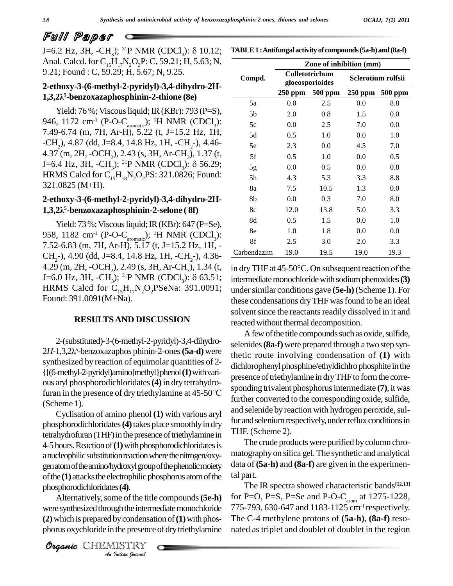J=6.2 Hz, 3H, -CH<sub>2</sub>); <sup>31</sup>P NMR (CDCl<sub>2</sub>):  $\delta$  10.12; Anal. Calcd. for  $C_{15}H_{17}N_2O_3P$ : C, 59.21; H, 5.63; N, 9.21; Found : C, 59.29; H, 5.67; N, 9.25.

| TABLE 1 : Antifungal activity of compounds (5a-h) and (8a-f) |  |
|--------------------------------------------------------------|--|
|--------------------------------------------------------------|--|

## **2-ethoxy-3-(6-methyl-2-pyridyl)-3,4-dihydro-2H- 1,3,2<sup>Î</sup> <sup>5</sup>-benzoxazaphosphinin-2-thione (8e)**

Yield: 76%; Viscous liquid; IR (KBr): 793 (P=S), 946, 1172 cm<sup>-1</sup> (P-O-C<sub>aromatic</sub>); <sup>1</sup>H NMR (CDCl<sub>3</sub>): 7.49-6.74 (m, 7H, Ar-H), 5.22 (t, J=15.2 Hz, 1H,  $-CH_2$ ), 4.87 (dd, J=8.4, 14.8 Hz, 1H,  $-CH_2$ -), 4.46-<br>4.37 (m, 2H,  $-OCH_2$ ), 2.43 (s, 3H, Ar-CH<sub>3</sub>), 1.37 (t, J=6.4 Hz, 3H, -CH<sub>3</sub>); <sup>31</sup>P NMR (CDCl<sub>3</sub>):  $\delta$  56.29; HRMS Calcd for  $C_{15}H_{18}N_2O_2PS$ : 321.0826; Found: 321.0825 (M+H).

#### **2-ethoxy-3-(6-methyl-2-pyridyl)-3,4-dihydro-2H-** 321.0825 (M+F<br>**2-ethoxy-3-(6-1**<br>**1,3,2**),<sup>5</sup>-benzox **<sup>5</sup>-benzoxazaphosphinin-2-selone ( 8f)**

Yield: 73 %; Viscous liquid; IR (KBr): 647 (P=Se), 958, 1182 cm<sup>-1</sup> (P-O-C<sub>aromatic</sub>); <sup>1</sup>H NMR (CDCl<sub>3</sub>): 7.52-6.83 (m, 7H, Ar-H), 5.17 (t, J=15.2 Hz, 1H, - CH<sub>2</sub>-), 4.90 (dd, J=8.4, 14.8 Hz, 1H, -CH<sub>2</sub>-), 4.36-<br>4.29 (m, 2H, -OCH<sub>2</sub>), 2.49 (s, 3H, Ar-CH<sub>3</sub>), 1.34 (t, J=6.0 Hz, 3H, -CH<sub>3</sub>); <sup>31</sup>P NMR (CDCl<sub>3</sub>):  $\delta$  63.51; HRMS Calcd for  $C_{15}H_{17}N_2O_2P$ SeNa: 391.0091; Found: 391.0091(M+Na).

#### **RESULTSAND DISCUSSION**

2-(substituted)-3-(6-methyl-2-pyridyl)-3,4-dihydro- 2-(substituted)-3-(6-methyl-2-pyridyl)-3,4-dihydro-<br>2*H*-1,3,2 $\lambda$ <sup>5</sup>-benzoxazaphos phinin-2-ones (5a-d) were thetic synthesized by reaction of equimolar quantities of 2- {[(6-methyl-2-pyridyl)amino]methyl}phenol**(1)**withvari ous aryl phosphorodichloridates**(4)** in dry tetrahydrofuran in the presence of dry triethylamine at 45-50°C (Scheme 1).

phosphorodichloridates (4). Cyclisation of amino phenol **(1)** with various aryl phosphorodichloridates**(4)**takes place smoothlyin dry tetrahydrofuran (THF) in the presence of triethylamine in 4-5hours.Reactionof**(1)**withphosphorodichloridatesis anucleophilic substitution reaction where the nitrogen/oxygenatomoftheamino/hydroxylgroupofthephenolicmoiety of the (1) attacks the electrophilic phosphorus atom of the

*Indian*<br>Indian *Indian*<br>*I*<br>*IISTRY*<br>*Indian Iournal* Alternatively, some of the title compounds (5e-h) were synthesized through the intermediate monochloride 775-7  $(2)$  which is prepared by condensation of  $(1)$  with phosphorus oxychloride in the presence of dry triethylamine

Organic CHEMISTRY

|             | Zone of inhibition (mm) |                                   |                    |         |  |  |  |
|-------------|-------------------------|-----------------------------------|--------------------|---------|--|--|--|
| Compd.      |                         | Colletotrichum<br>gloeosporioides | Sclerotium rolfsii |         |  |  |  |
|             |                         | 250 ppm 500 ppm                   | $250$ ppm          | 500 ppm |  |  |  |
| 5a          | 0.0                     | 2.5                               | 0.0                | 8.8     |  |  |  |
| 5b          | 2.0                     | 0.8                               | 1.5                | 0.0     |  |  |  |
| 5c          | 0.0                     | 2.5                               | 7.0                | 0.0     |  |  |  |
| 5d          | 0.5                     | 1.0                               | 0.0                | 1.0     |  |  |  |
| 5e          | 2.3                     | 0.0                               | 4.5                | 7.0     |  |  |  |
| 5f          | 0.5                     | 1.0                               | 0.0                | 0.5     |  |  |  |
| 5g          | 0.0                     | 0.5                               | 0.0                | 0.8     |  |  |  |
| 5h          | 4.3                     | 5.3                               | 3.3                | 8.8     |  |  |  |
| 8a          | 7.5                     | 10.5                              | 1.3                | 0.0     |  |  |  |
| 8b          | 0.0                     | 0.3                               | 7.0                | 8.0     |  |  |  |
| 8c          | 12.0                    | 13.8                              | 5.0                | 3.3     |  |  |  |
| 8d          | 0.5                     | 1.5                               | 0.0                | 1.0     |  |  |  |
| 8e          | 1.0                     | 1.8                               | 0.0                | 0.0     |  |  |  |
| 8f          | 2.5                     | 3.0                               | 2.0                | 3.3     |  |  |  |
| Carbendazim | 19.0                    | 19.5                              | 19.0               | 19.3    |  |  |  |

in dry THF at  $45\text{-}50^{\circ}\text{C}$ . On subsequent reaction of the intermediate monochloride with sodium phenoxides (3) undersimilar conditions gave **(5e-h)** (Scheme 1). For these condensations dry THF was found to be an ideal solvent since the reactants readily dissolved in it and reacted without thermal decomposition.

A few of the title compounds such as oxide, sulfide, selenides**(8a-f)** were prepared through a two step synthetic route involving condensation of**(1)** with dichlorophenyl phosphine/ethyldichlrophosphite in the presence of triethylamine in dry THF to form the corresponding trivalent phosphorusintermediate **(7)**, it was further converted to the corresponding oxide, sulfide, and selenide by reaction with hydrogen peroxide, sulfur and selenium respectively, under reflux conditions in THF. (Scheme 2).

The crude products were purified by column chromatography on silica gel. The synthetic and analytical data of **(5a-h)** and **(8a-f)** are given in the experimental part.

The IR spectra showed characteristic bands **[12,13]** for P=O, P=S, P=Se and P-O-C<sub>arom</sub> at  $1275-1228$ , 775-793, 630-647 and 1183-1125 cm-1 respectively. The C-4 methylene protons of **(5a-h)**, **(8a-f)** reso nated as triplet and doublet of doublet in the region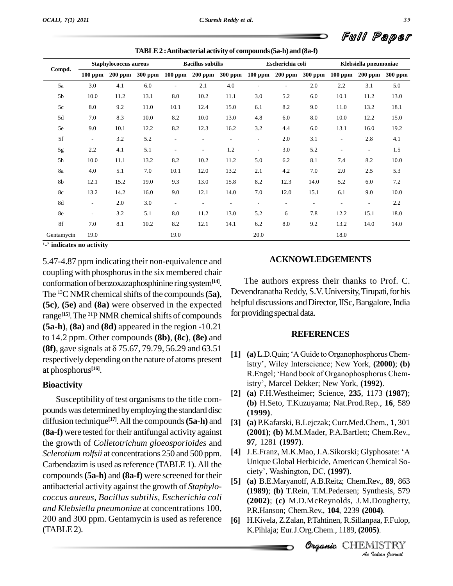|            | <b>Staphylococcus aureus</b> |           |         | <b>Bacillus</b> subtilis |                          | Escherichia coli         |                          |                          | Klebsiella pneumoniae    |                          |                          |                |
|------------|------------------------------|-----------|---------|--------------------------|--------------------------|--------------------------|--------------------------|--------------------------|--------------------------|--------------------------|--------------------------|----------------|
| Compd.     | $100$ ppm                    | $200$ ppm | 300 ppm | $100$ ppm                | <b>200 ppm</b>           | <b>300 ppm</b>           | $100$ ppm                | <b>200 ppm</b>           | 300 ppm                  | $100$ ppm                | <b>200 ppm</b>           | <b>300 ppm</b> |
| 5a         | 3.0                          | 4.1       | 6.0     | $\overline{\phantom{a}}$ | 2.1                      | 4.0                      | $\overline{\phantom{a}}$ | $\overline{\phantom{a}}$ | 2.0                      | 2.2                      | 3.1                      | 5.0            |
| 5b         | 10.0                         | 11.2      | 13.1    | 8.0                      | 10.2                     | 11.1                     | 3.0                      | 5.2                      | 6.0                      | 10.1                     | 11.2                     | 13.0           |
| 5c         | 8.0                          | 9.2       | 11.0    | 10.1                     | 12.4                     | 15.0                     | 6.1                      | 8.2                      | 9.0                      | 11.0                     | 13.2                     | 18.1           |
| 5d         | 7.0                          | 8.3       | 10.0    | 8.2                      | 10.0                     | 13.0                     | 4.8                      | 6.0                      | 8.0                      | 10.0                     | 12.2                     | 15.0           |
| 5e         | 9.0                          | 10.1      | 12.2    | 8.2                      | 12.3                     | 16.2                     | 3.2                      | 4.4                      | 6.0                      | 13.1                     | 16.0                     | 19.2           |
| 5f         | $\overline{\phantom{a}}$     | 3.2       | 5.2     | $\overline{\phantom{a}}$ | $\overline{\phantom{a}}$ | $\overline{\phantom{a}}$ | $\overline{\phantom{a}}$ | 2.0                      | 3.1                      | $\overline{\phantom{a}}$ | 2.8                      | 4.1            |
| 5g         | 2.2                          | 4.1       | 5.1     | $\overline{\phantom{a}}$ | $\overline{\phantom{a}}$ | 1.2                      | $\overline{\phantom{a}}$ | 3.0                      | 5.2                      | $\overline{\phantom{a}}$ | $\overline{\phantom{a}}$ | 1.5            |
| 5h         | 10.0                         | 11.1      | 13.2    | 8.2                      | 10.2                     | 11.2                     | 5.0                      | 6.2                      | 8.1                      | 7.4                      | 8.2                      | 10.0           |
| 8a         | 4.0                          | 5.1       | 7.0     | 10.1                     | 12.0                     | 13.2                     | 2.1                      | 4.2                      | 7.0                      | 2.0                      | 2.5                      | 5.3            |
| 8b         | 12.1                         | 15.2      | 19.0    | 9.3                      | 13.0                     | 15.8                     | 8.2                      | 12.3                     | 14.0                     | 5.2                      | 6.0                      | 7.2            |
| 8c         | 13.2                         | 14.2      | 16.0    | 9.0                      | 12.1                     | 14.0                     | 7.0                      | 12.0                     | 15.1                     | 6.1                      | 9.0                      | 10.0           |
| 8d         | $\overline{\phantom{a}}$     | 2.0       | 3.0     | $\overline{\phantom{a}}$ | $\overline{\phantom{a}}$ | $\overline{\phantom{a}}$ | $\overline{\phantom{a}}$ | $\overline{\phantom{a}}$ | $\overline{\phantom{a}}$ | $\overline{\phantom{a}}$ | $\overline{\phantom{a}}$ | 2.2            |
| 8e         | $\overline{\phantom{a}}$     | 3.2       | 5.1     | 8.0                      | 11.2                     | 13.0                     | 5.2                      | 6                        | 7.8                      | 12.2                     | 15.1                     | 18.0           |
| 8f         | 7.0                          | 8.1       | 10.2    | 8.2                      | 12.1                     | 14.1                     | 6.2                      | 8.0                      | 9.2                      | 13.2                     | 14.0                     | 14.0           |
| Gentamycin | 19.0                         |           |         | 19.0                     |                          |                          | 20.0                     |                          |                          | 18.0                     |                          |                |

**TABLE2 :Antibacterial activity of compounds(5a-h)and(8a-f)**

**-<sup>í</sup> indicates no activity**

5.47-4.87 ppm indicating their non-equivalence and coupling with phosphorus in the six membered chair conformation ofbenzoxazaphosphinine ringsystem**[14]**. The <sup>13</sup>C NMR chemical shifts of the compounds  $(5a)$ ,  $D^0$ **(5c)**, **(5e)** and **(8a)** were observed in the expected range<sup>[15]</sup>. The <sup>31</sup>P NMR chemical shifts of compounds <sup>IOT p1</sup> **(5a-h)**, **(8a)** and **(8d)** appeared in the region -10.21 to 14.2 ppm. Other compounds **(8b)**, **(8c)**, **(8e)** and **(5a-h), (8a)** and **(8d)** appeared in the region -10.21 to 14.2 ppm. Other compounds **(8b), (8c), (8e)** and **(8f)**, gave signals at  $\delta$  75.67, 79.79, 56.29 and 63.51 respectivelydepending on the nature of atoms present at phosphorus **[16]**.

#### **Bioactivity**

Susceptibility of test organisms to the title compounds was determined by employing the standard disc diffusion technique<sup>[17]</sup>. All the compounds (5a-h) and [3] (a) **(8a-f)** were tested for their antifungal activity against the growth of *Colletotrichum gloeosporioides* and *Sclerotium rolfsii* at concentrations 250 and 500 ppm. Carbendazim is used as reference (TABLE 1). All the Unique Global Herbicide, American compounds  $(5e \text{ h})$  and  $(9e \text{ f})$  was agreemed for their city', Washington, DC, (1997). compounds**(5a-h)** and **(8a-f)** were screened for their antibacterial activity against the growth of *Staphylo coccus aureus, Bacillus subtilis, Escherichia coli and Klebsiella pneumoniae* at concentrations 100, 200 and 300 ppm. Gentamycin is used as reference  $(TABLE2)$ .

#### **ACKNOWLEDGEMENTS**

The authors express their thanks to Prof. C. Devendranatha Reddy, S.V. University, Tirupati, for his helpful discussions and Director, IISc, Bangalore, India for providing spectral data.

#### **REFERENCES**

- **EXEERENCES**<br> **[1]** (a) L.D.Quin; 'A Guide to Organophosphorus Chem-(a) L.D.Quin; 'A Guide to Organophosphorus Chem-<br>istry', Wiley Interscience; New York, (2000); (b) (a) L.D.Quin; 'A Guide to Organophosphorus Chemistry', Wiley Interscience; New York, (2000); (b)<br>R.Engel; 'Hand book of Organophosphorus Chemistry', Wiley Interscience; New York, (2000);<br>R.Engel; 'Hand book of Organophosphorus Che<br>istry', Marcel Dekker; New York, (1992).
- **[2] (a)** F.H.Westheimer; Science, **235**, 1173 **(1987)**; **(b)** H.Seto, T.Kuzuyama; Nat.Prod.Rep., **16**, 589 **(1999)**.
- **[3] (a)** P.Kafarski, B.Lejczak; Curr.Med.Chem., **1**, 301 **(2001)**; **(b)** M.M.Mader, P.A.Bartlett; Chem.Rev., **97***,* 1281 **(1997)**. **(2001); (b)** M.M.Mader, P.A.Bartlett; Chem.Rev.,<br>**97**, 1281 **(1997)**.<br>**[4]** J.E.Franz, M.K.Mao, J.A.Sikorski; Glyphosate: 'A
- Unique Global Herbicide, American Chemical So- J.E.Franz, M.K.Mao, J.A.Sikorski; G<br>Unique Global Herbicide, American<br>ciety<sup>'</sup>, Washington, DC, (**1997**).
- **Organic***An***(1989)**; **(b)** T.Rein, T.M.Pedersen; Synthesis, 579 nthesis, 579<br>*Dougherty,*<br>0**04**).<br>paa, F.Fulop,<br>**J.J.**<br>*IlSTRY* **[5] (a)** B.E.Maryanoff, A.B.Reitz; Chem.Rev., **89**, 863 **(2002)**; **(c)** M.D.McReynolds, J.M.Dougherty, P.R.Hanson; Chem.Rev., **104**, 2239 **(2004)**.
- **[6]** H.Kivela, Z.Zalan, P.Tahtinen, R.Sillanpaa, F.Fulop, K.Pihlaja; Eur.J.Org.Chem., 1189, **(2005)**.